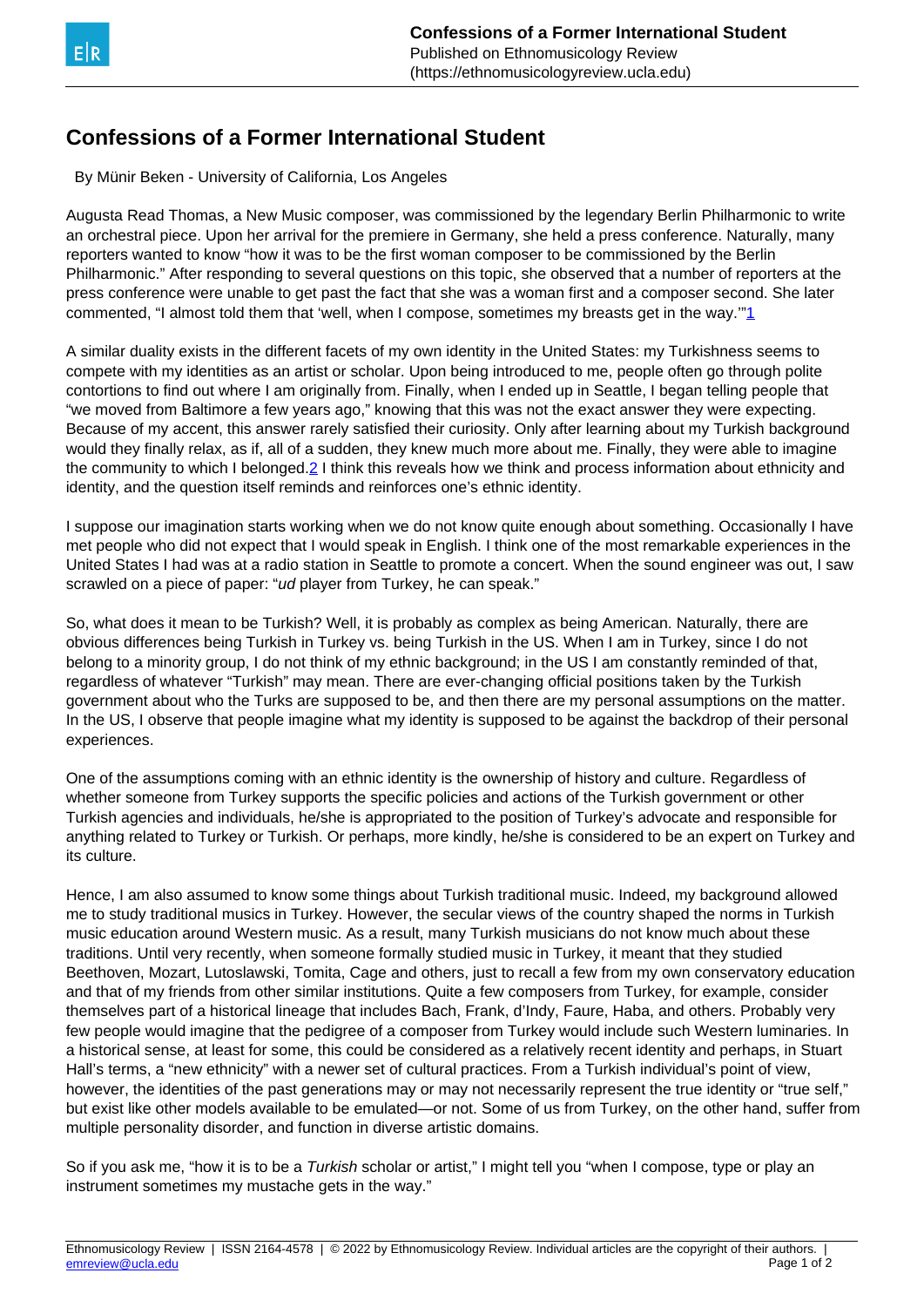## <span id="page-0-0"></span>**Confessions of a Former International Student**

By Münir Beken - University of California, Los Angeles

Augusta Read Thomas, a New Music composer, was commissioned by the legendary Berlin Philharmonic to write an orchestral piece. Upon her arrival for the premiere in Germany, she held a press conference. Naturally, many reporters wanted to know "how it was to be the first woman composer to be commissioned by the Berlin Philharmonic." After responding to several questions on this topic, she observed that a number of reporters at the press conference were unable to get past the fact that she was a woman first and a composer second. She later commented, "I almost told them that 'well, when I compose, sometimes my breasts get in the way.'["1](#page-0-0)

A similar duality exists in the different facets of my own identity in the United States: my Turkishness seems to compete with my identities as an artist or scholar. Upon being introduced to me, people often go through polite contortions to find out where I am originally from. Finally, when I ended up in Seattle, I began telling people that "we moved from Baltimore a few years ago," knowing that this was not the exact answer they were expecting. Because of my accent, this answer rarely satisfied their curiosity. Only after learning about my Turkish background would they finally relax, as if, all of a sudden, they knew much more about me. Finally, they were able to imagine the community to which I belonged[.2](#page-0-0) I think this reveals how we think and process information about ethnicity and identity, and the question itself reminds and reinforces one's ethnic identity.

I suppose our imagination starts working when we do not know quite enough about something. Occasionally I have met people who did not expect that I would speak in English. I think one of the most remarkable experiences in the United States I had was at a radio station in Seattle to promote a concert. When the sound engineer was out, I saw scrawled on a piece of paper: "ud player from Turkey, he can speak."

So, what does it mean to be Turkish? Well, it is probably as complex as being American. Naturally, there are obvious differences being Turkish in Turkey vs. being Turkish in the US. When I am in Turkey, since I do not belong to a minority group, I do not think of my ethnic background; in the US I am constantly reminded of that, regardless of whatever "Turkish" may mean. There are ever-changing official positions taken by the Turkish government about who the Turks are supposed to be, and then there are my personal assumptions on the matter. In the US, I observe that people imagine what my identity is supposed to be against the backdrop of their personal experiences.

One of the assumptions coming with an ethnic identity is the ownership of history and culture. Regardless of whether someone from Turkey supports the specific policies and actions of the Turkish government or other Turkish agencies and individuals, he/she is appropriated to the position of Turkey's advocate and responsible for anything related to Turkey or Turkish. Or perhaps, more kindly, he/she is considered to be an expert on Turkey and its culture.

Hence, I am also assumed to know some things about Turkish traditional music. Indeed, my background allowed me to study traditional musics in Turkey. However, the secular views of the country shaped the norms in Turkish music education around Western music. As a result, many Turkish musicians do not know much about these traditions. Until very recently, when someone formally studied music in Turkey, it meant that they studied Beethoven, Mozart, Lutoslawski, Tomita, Cage and others, just to recall a few from my own conservatory education and that of my friends from other similar institutions. Quite a few composers from Turkey, for example, consider themselves part of a historical lineage that includes Bach, Frank, d'Indy, Faure, Haba, and others. Probably very few people would imagine that the pedigree of a composer from Turkey would include such Western luminaries. In a historical sense, at least for some, this could be considered as a relatively recent identity and perhaps, in Stuart Hall's terms, a "new ethnicity" with a newer set of cultural practices. From a Turkish individual's point of view, however, the identities of the past generations may or may not necessarily represent the true identity or "true self," but exist like other models available to be emulated—or not. Some of us from Turkey, on the other hand, suffer from multiple personality disorder, and function in diverse artistic domains.

So if you ask me, "how it is to be a Turkish scholar or artist," I might tell you "when I compose, type or play an instrument sometimes my mustache gets in the way."